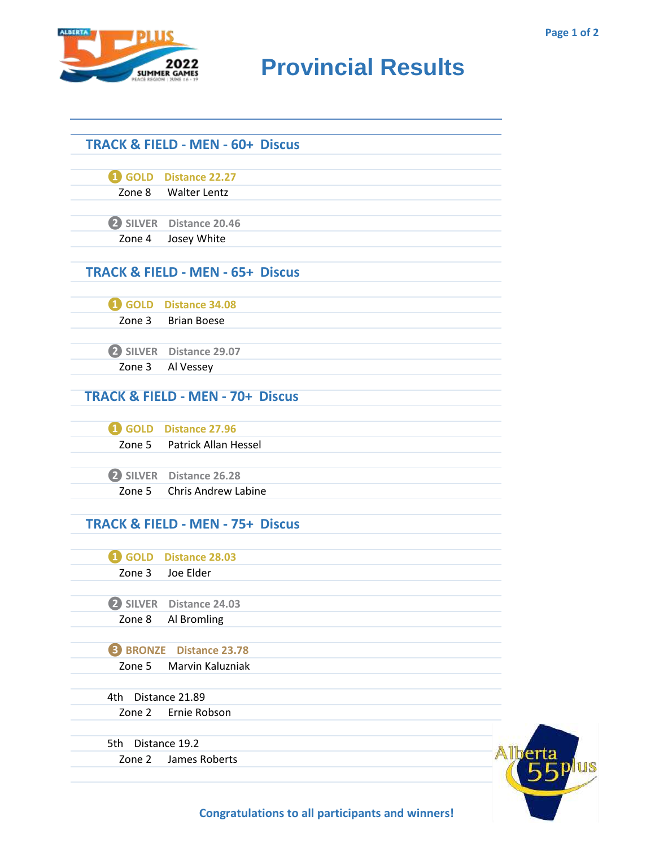

## **RIDER CAMES PROVINCIAL RESULTS**

|                 | <b>TRACK &amp; FIELD - MEN - 60+ Discus</b> |  |
|-----------------|---------------------------------------------|--|
|                 | GOLD Distance 22.27                         |  |
|                 | Zone 8 Walter Lentz                         |  |
|                 | 2 SILVER Distance 20.46                     |  |
| Zone 4          | Josey White                                 |  |
|                 | <b>TRACK &amp; FIELD - MEN - 65+ Discus</b> |  |
|                 | GOLD Distance 34.08                         |  |
| Zone 3          | <b>Brian Boese</b>                          |  |
|                 | 2 SILVER Distance 29.07                     |  |
| Zone 3          | Al Vessey                                   |  |
|                 | <b>TRACK &amp; FIELD - MEN - 70+ Discus</b> |  |
|                 | <b>4</b> GOLD Distance 27.96                |  |
|                 | Zone 5 Patrick Allan Hessel                 |  |
|                 | 2 SILVER Distance 26.28                     |  |
| Zone 5          | <b>Chris Andrew Labine</b>                  |  |
|                 | <b>TRACK &amp; FIELD - MEN - 75+ Discus</b> |  |
|                 | 4 GOLD Distance 28.03                       |  |
| Zone 3          | Joe Elder                                   |  |
|                 | 2 SILVER Distance 24.03                     |  |
| Zone 8          | Al Bromling                                 |  |
| <b>B</b> BRONZE | <b>Distance 23.78</b>                       |  |
| Zone 5          | Marvin Kaluzniak                            |  |
| 4th             | Distance 21.89                              |  |
| Zone 2          | Ernie Robson                                |  |
| 5th             | Distance 19.2                               |  |
| Zone 2          | James Roberts                               |  |